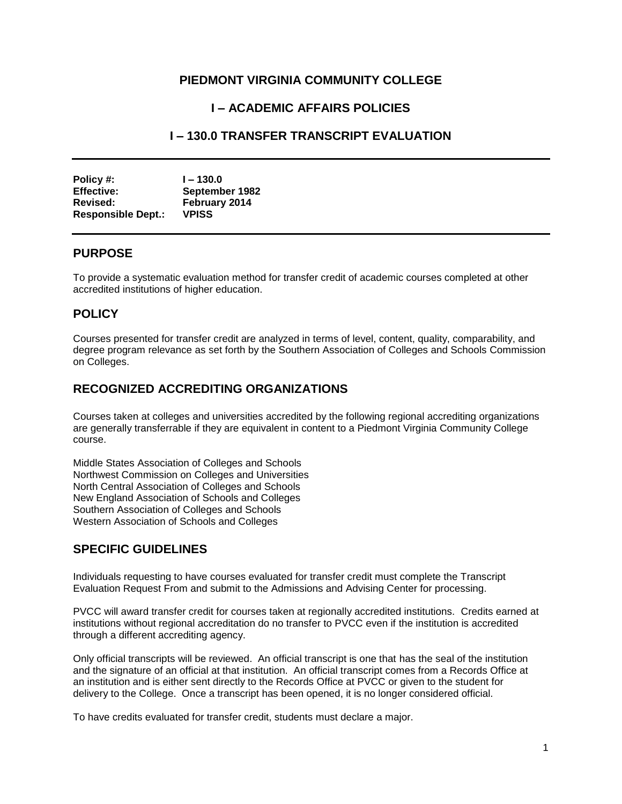## **PIEDMONT VIRGINIA COMMUNITY COLLEGE**

# **I – ACADEMIC AFFAIRS POLICIES**

## **I – 130.0 TRANSFER TRANSCRIPT EVALUATION**

| Policy #:                 | $1 - 130.0$    |
|---------------------------|----------------|
| <b>Effective:</b>         | September 1982 |
| Revised:                  | February 2014  |
| <b>Responsible Dept.:</b> | <b>VPISS</b>   |

#### **PURPOSE**

To provide a systematic evaluation method for transfer credit of academic courses completed at other accredited institutions of higher education.

#### **POLICY**

Courses presented for transfer credit are analyzed in terms of level, content, quality, comparability, and degree program relevance as set forth by the Southern Association of Colleges and Schools Commission on Colleges.

## **RECOGNIZED ACCREDITING ORGANIZATIONS**

Courses taken at colleges and universities accredited by the following regional accrediting organizations are generally transferrable if they are equivalent in content to a Piedmont Virginia Community College course.

Middle States Association of Colleges and Schools Northwest Commission on Colleges and Universities North Central Association of Colleges and Schools New England Association of Schools and Colleges Southern Association of Colleges and Schools Western Association of Schools and Colleges

## **SPECIFIC GUIDELINES**

Individuals requesting to have courses evaluated for transfer credit must complete the Transcript Evaluation Request From and submit to the Admissions and Advising Center for processing.

PVCC will award transfer credit for courses taken at regionally accredited institutions. Credits earned at institutions without regional accreditation do no transfer to PVCC even if the institution is accredited through a different accrediting agency.

Only official transcripts will be reviewed. An official transcript is one that has the seal of the institution and the signature of an official at that institution. An official transcript comes from a Records Office at an institution and is either sent directly to the Records Office at PVCC or given to the student for delivery to the College. Once a transcript has been opened, it is no longer considered official.

To have credits evaluated for transfer credit, students must declare a major.